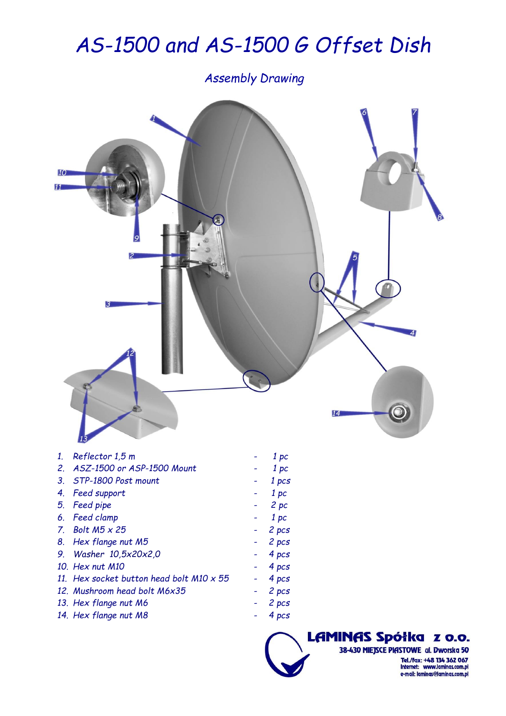## *AS-1500 and AS-1500 G Offset Dish*

*Assembly Drawing*



LAMINAS Spółka z o.o. 38-430 MIEJSCE PIASTOWE al. Dworska 50 Tel./fax: +48 134 362 067<br>Internet: www.laminas.com.pl e-mail: laminas@laminas.com.pl